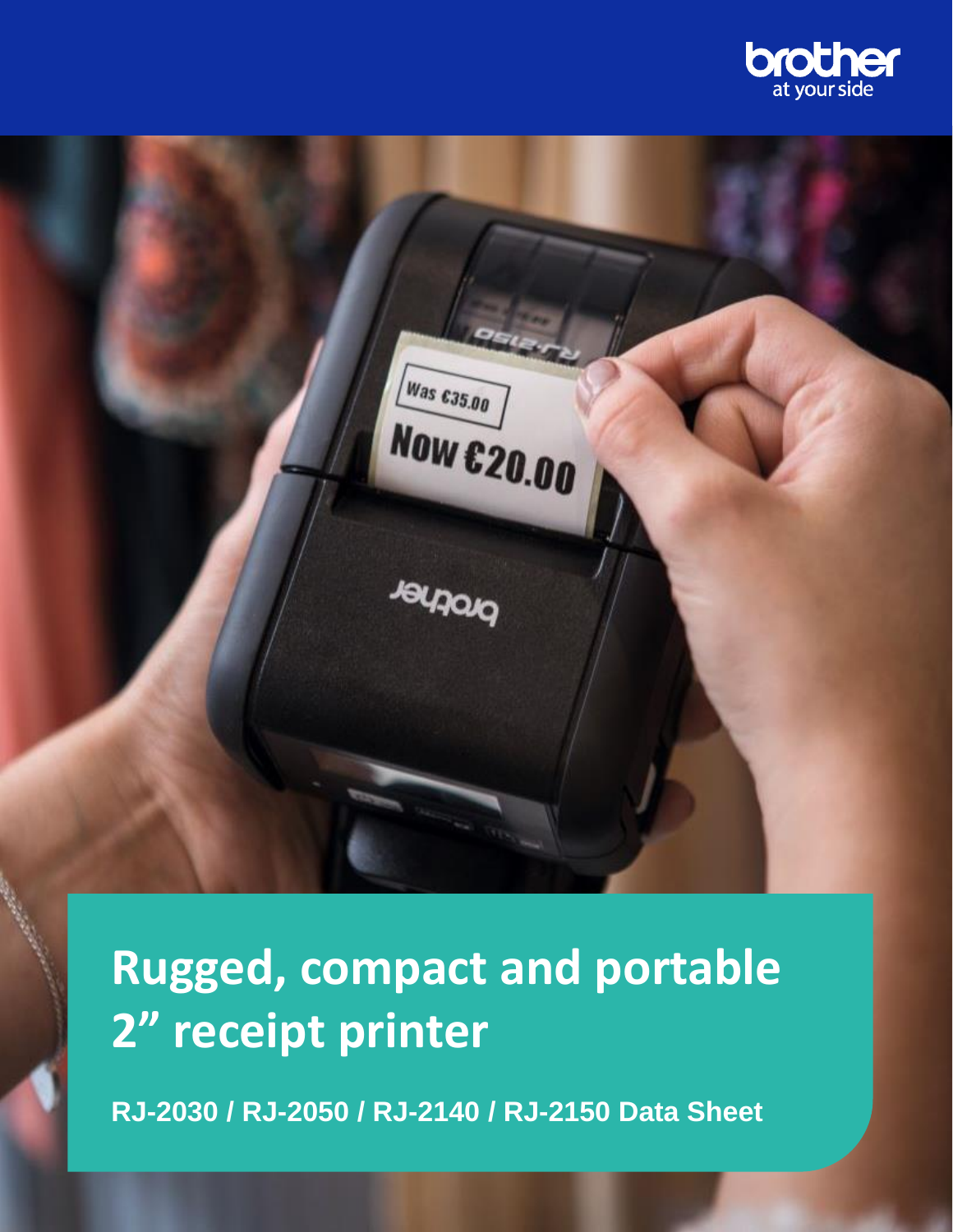



**Rugged, compact and portable 2" receipt printer**

**RJ-2030 / RJ-2050 / RJ-2140 / RJ-2150 Data Sheet**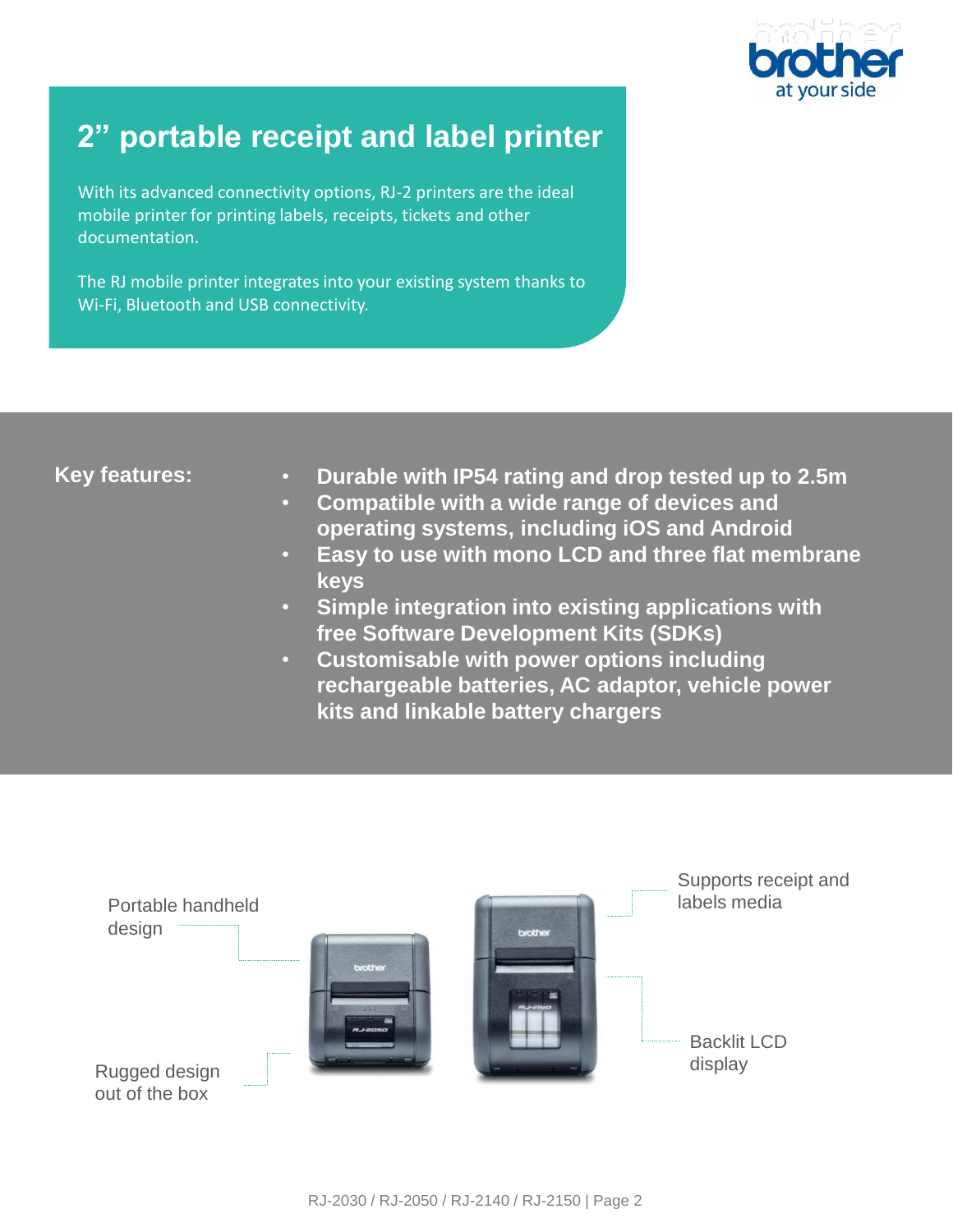

# **2" portable receipt and label printer**

With its advanced connectivity options, RJ-2 printers are the ideal mobile printer for printing labels, receipts, tickets and other documentation.

The RJ mobile printer integrates into your existing system thanks to Wi-Fi, Bluetooth and USB connectivity.

## **Key features:**

- **Durable with IP54 rating and drop tested up to 2.5m**
- **Compatible with a wide range of devices and operating systems, including iOS and Android**
- **Easy to use with mono LCD and three flat membrane keys**
- **Simple integration into existing applications with free Software Development Kits (SDKs)**
- **Customisable with power options including rechargeable batteries, AC adaptor, vehicle power kits and linkable battery chargers**

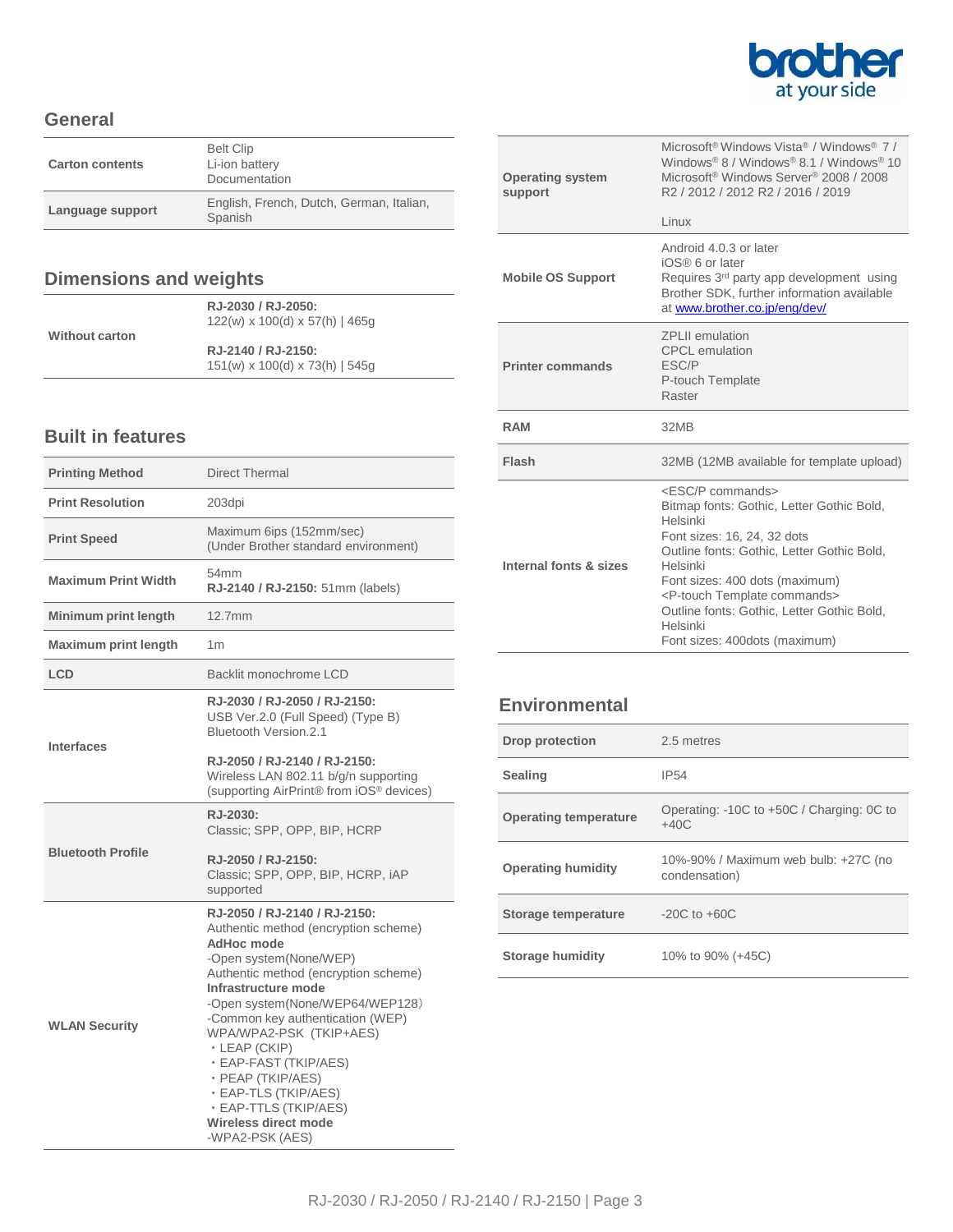

### **General**

| <b>Carton contents</b> | <b>Belt Clip</b><br>Li-ion battery<br>Documentation |
|------------------------|-----------------------------------------------------|
| Language support       | English, French, Dutch, German, Italian,<br>Spanish |

# **Dimensions and weights**

|                       | RJ-2030 / RJ-2050:                         |  |
|-----------------------|--------------------------------------------|--|
|                       | $122(w)$ x 100(d) x 57(h)   465q           |  |
| <b>Without carton</b> |                                            |  |
|                       | RJ-2140 / RJ-2150:                         |  |
|                       | $151(w) \times 100(d) \times 73(h)$   545g |  |

## **Built in features**

| <b>Printing Method</b>      | <b>Direct Thermal</b>                                                                                                                                                                                                                                                                                                                                                                                                                                  |
|-----------------------------|--------------------------------------------------------------------------------------------------------------------------------------------------------------------------------------------------------------------------------------------------------------------------------------------------------------------------------------------------------------------------------------------------------------------------------------------------------|
| <b>Print Resolution</b>     | 203dpi                                                                                                                                                                                                                                                                                                                                                                                                                                                 |
| <b>Print Speed</b>          | Maximum 6ips (152mm/sec)<br>(Under Brother standard environment)                                                                                                                                                                                                                                                                                                                                                                                       |
| <b>Maximum Print Width</b>  | 54mm<br>RJ-2140 / RJ-2150: 51mm (labels)                                                                                                                                                                                                                                                                                                                                                                                                               |
| Minimum print length        | 12.7mm                                                                                                                                                                                                                                                                                                                                                                                                                                                 |
| <b>Maximum print length</b> | 1 <sub>m</sub>                                                                                                                                                                                                                                                                                                                                                                                                                                         |
| LCD                         | Backlit monochrome LCD                                                                                                                                                                                                                                                                                                                                                                                                                                 |
| <b>Interfaces</b>           | RJ-2030 / RJ-2050 / RJ-2150:<br>USB Ver.2.0 (Full Speed) (Type B)<br>Bluetooth Version.2.1                                                                                                                                                                                                                                                                                                                                                             |
|                             | RJ-2050 / RJ-2140 / RJ-2150:<br>Wireless LAN 802.11 b/g/n supporting<br>(supporting AirPrint® from iOS® devices)                                                                                                                                                                                                                                                                                                                                       |
| <b>Bluetooth Profile</b>    | RJ-2030:<br>Classic; SPP, OPP, BIP, HCRP                                                                                                                                                                                                                                                                                                                                                                                                               |
|                             | RJ-2050 / RJ-2150:<br>Classic; SPP, OPP, BIP, HCRP, iAP<br>supported                                                                                                                                                                                                                                                                                                                                                                                   |
| <b>WLAN Security</b>        | RJ-2050 / RJ-2140 / RJ-2150:<br>Authentic method (encryption scheme)<br><b>AdHoc mode</b><br>-Open system(None/WEP)<br>Authentic method (encryption scheme)<br>Infrastructure mode<br>-Open system(None/WEP64/WEP128)<br>-Common key authentication (WEP)<br>WPA/WPA2-PSK (TKIP+AES)<br>· LEAP (CKIP)<br>· EAP-FAST (TKIP/AES)<br>· PEAP (TKIP/AES)<br>· EAP-TLS (TKIP/AES)<br>· EAP-TTLS (TKIP/AES)<br><b>Wireless direct mode</b><br>-WPA2-PSK (AES) |

| <b>Operating system</b><br>support | Microsoft <sup>®</sup> Windows Vista <sup>®</sup> / Windows <sup>®</sup> 7 /<br>Windows <sup>®</sup> 8 / Windows <sup>®</sup> 8.1 / Windows <sup>®</sup> 10<br>Microsoft <sup>®</sup> Windows Server <sup>®</sup> 2008 / 2008<br>R <sub>2</sub> / 2012 / 2012 R <sub>2</sub> / 2016 / 2019<br>Linux                                                                  |
|------------------------------------|----------------------------------------------------------------------------------------------------------------------------------------------------------------------------------------------------------------------------------------------------------------------------------------------------------------------------------------------------------------------|
| <b>Mobile OS Support</b>           | Android 4.0.3 or later<br>iOS® 6 or later<br>Requires 3 <sup>rd</sup> party app development using<br>Brother SDK, further information available<br>at www.brother.co.jp/eng/dev/                                                                                                                                                                                     |
| <b>Printer commands</b>            | <b>7PI II emulation</b><br><b>CPCL</b> emulation<br>ESC/P<br>P-touch Template<br>Raster                                                                                                                                                                                                                                                                              |
| <b>RAM</b>                         | 32MB                                                                                                                                                                                                                                                                                                                                                                 |
| Flash                              | 32MB (12MB available for template upload)                                                                                                                                                                                                                                                                                                                            |
| Internal fonts & sizes             | <esc commands="" p=""><br/>Bitmap fonts: Gothic, Letter Gothic Bold,<br/>Helsinki<br/>Font sizes: 16, 24, 32 dots<br/>Outline fonts: Gothic, Letter Gothic Bold,<br/>Helsinki<br/>Font sizes: 400 dots (maximum)<br/><p-touch commands="" template=""><br/>Outline fonts: Gothic, Letter Gothic Bold,<br/>Helsinki<br/>Font sizes: 400dots (maximum)</p-touch></esc> |

## **Environmental**

| <b>Drop protection</b>       | 2.5 metres                                            |
|------------------------------|-------------------------------------------------------|
| <b>Sealing</b>               | <b>IP54</b>                                           |
| <b>Operating temperature</b> | Operating: -10C to +50C / Charging: 0C to<br>$+40C$   |
| <b>Operating humidity</b>    | 10%-90% / Maximum web bulb: +27C (no<br>condensation) |
| Storage temperature          | $-20C$ to $+60C$                                      |
| Storage humidity             | 10% to 90% (+45C)                                     |